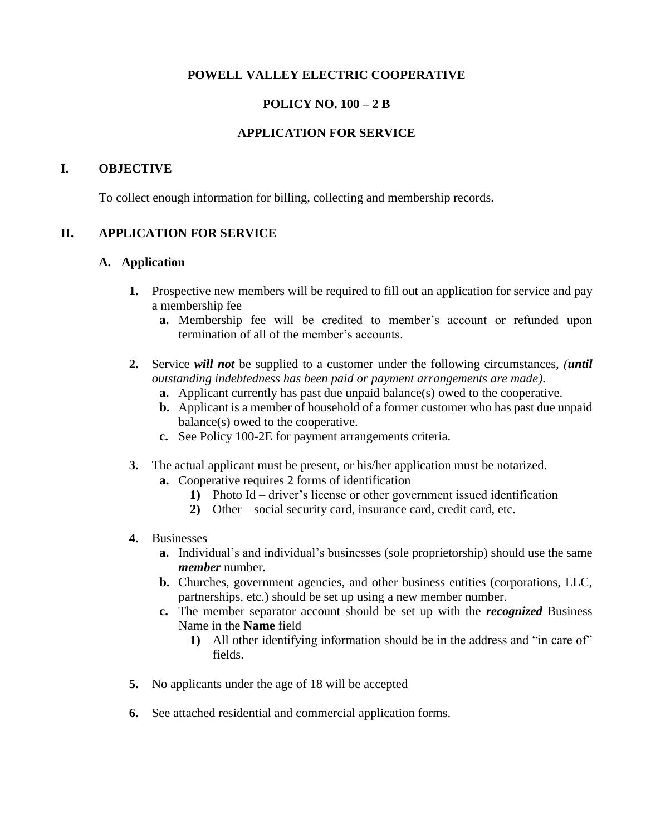## **POWELL VALLEY ELECTRIC COOPERATIVE**

## **POLICY NO. 100 – 2 B**

### **APPLICATION FOR SERVICE**

#### **I. OBJECTIVE**

To collect enough information for billing, collecting and membership records.

#### **II. APPLICATION FOR SERVICE**

#### **A. Application**

- **1.** Prospective new members will be required to fill out an application for service and pay a membership fee
	- **a.** Membership fee will be credited to member's account or refunded upon termination of all of the member's accounts.
- **2.** Service *will not* be supplied to a customer under the following circumstances, *(until outstanding indebtedness has been paid or payment arrangements are made)*.
	- **a.** Applicant currently has past due unpaid balance(s) owed to the cooperative.
	- **b.** Applicant is a member of household of a former customer who has past due unpaid balance(s) owed to the cooperative.
	- **c.** See Policy 100-2E for payment arrangements criteria.
- **3.** The actual applicant must be present, or his/her application must be notarized.
	- **a.** Cooperative requires 2 forms of identification
		- **1)** Photo Id driver's license or other government issued identification
		- **2)** Other social security card, insurance card, credit card, etc.
- **4.** Businesses
	- **a.** Individual's and individual's businesses (sole proprietorship) should use the same *member* number.
	- **b.** Churches, government agencies, and other business entities (corporations, LLC, partnerships, etc.) should be set up using a new member number.
	- **c.** The member separator account should be set up with the *recognized* Business Name in the **Name** field
		- **1)** All other identifying information should be in the address and "in care of" fields.
- **5.** No applicants under the age of 18 will be accepted
- **6.** See attached residential and commercial application forms.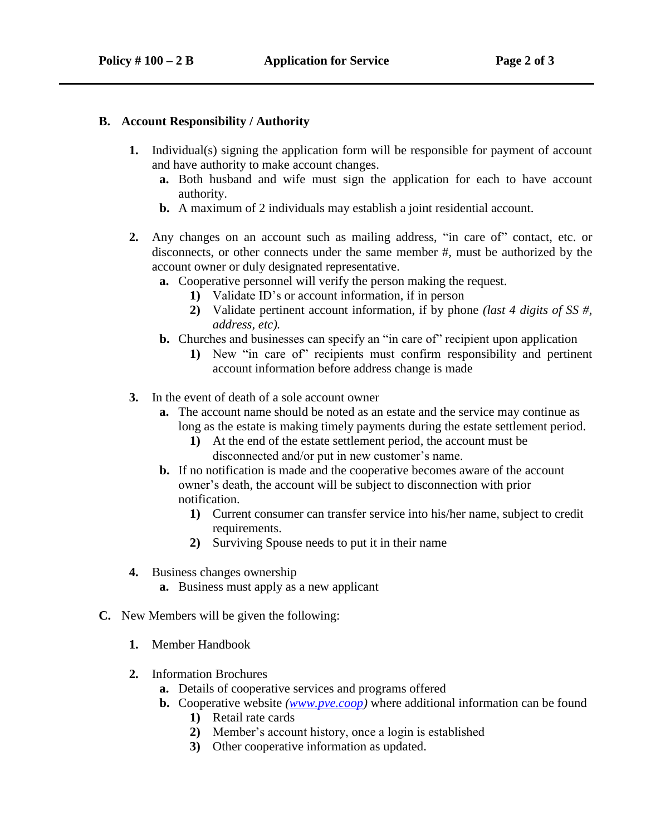#### **B. Account Responsibility / Authority**

- **1.** Individual(s) signing the application form will be responsible for payment of account and have authority to make account changes.
	- **a.** Both husband and wife must sign the application for each to have account authority.
	- **b.** A maximum of 2 individuals may establish a joint residential account.
- **2.** Any changes on an account such as mailing address, "in care of" contact, etc. or disconnects, or other connects under the same member #, must be authorized by the account owner or duly designated representative.
	- **a.** Cooperative personnel will verify the person making the request.
		- **1)** Validate ID's or account information, if in person
		- **2)** Validate pertinent account information, if by phone *(last 4 digits of SS #, address, etc).*
	- **b.** Churches and businesses can specify an "in care of" recipient upon application
		- **1)** New "in care of" recipients must confirm responsibility and pertinent account information before address change is made
- **3.** In the event of death of a sole account owner
	- **a.** The account name should be noted as an estate and the service may continue as long as the estate is making timely payments during the estate settlement period.
		- **1)** At the end of the estate settlement period, the account must be disconnected and/or put in new customer's name.
	- **b.** If no notification is made and the cooperative becomes aware of the account owner's death, the account will be subject to disconnection with prior notification.
		- **1)** Current consumer can transfer service into his/her name, subject to credit requirements.
		- **2)** Surviving Spouse needs to put it in their name
- **4.** Business changes ownership
	- **a.** Business must apply as a new applicant
- **C.** New Members will be given the following:
	- **1.** Member Handbook
	- **2.** Information Brochures
		- **a.** Details of cooperative services and programs offered
		- **b.** Cooperative website *[\(www.pve.coop\)](http://www.pve.coop/)* where additional information can be found
			- **1)** Retail rate cards
			- **2)** Member's account history, once a login is established
			- **3)** Other cooperative information as updated.